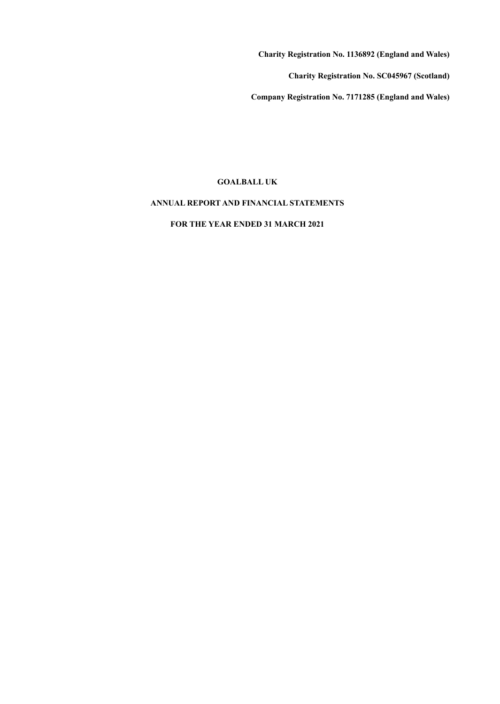**Charity Registration No. 1136892 (England and Wales)**

**Charity Registration No. SC045967 (Scotland)**

**Company Registration No. 7171285 (England and Wales)**

# **GOALBALL UK**

# **ANNUAL REPORT AND FINANCIAL STATEMENTS**

**FOR THE YEAR ENDED 31 MARCH 2021**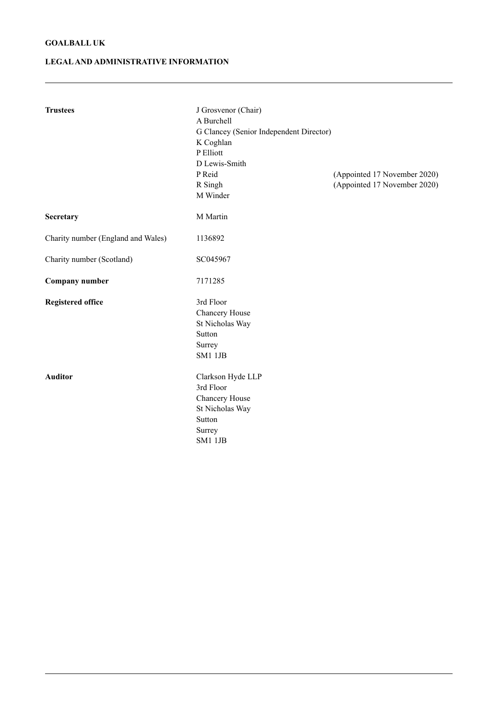# **LEGALAND ADMINISTRATIVE INFORMATION**

| <b>Trustees</b>                    | J Grosvenor (Chair)<br>A Burchell<br>G Clancey (Senior Independent Director)<br>K Coghlan<br>P Elliott<br>D Lewis-Smith<br>P Reid<br>R Singh<br>M Winder | (Appointed 17 November 2020)<br>(Appointed 17 November 2020) |
|------------------------------------|----------------------------------------------------------------------------------------------------------------------------------------------------------|--------------------------------------------------------------|
| Secretary                          | M Martin                                                                                                                                                 |                                                              |
| Charity number (England and Wales) | 1136892                                                                                                                                                  |                                                              |
| Charity number (Scotland)          | SC045967                                                                                                                                                 |                                                              |
| <b>Company number</b>              | 7171285                                                                                                                                                  |                                                              |
| <b>Registered office</b>           | 3rd Floor<br>Chancery House<br>St Nicholas Way<br>Sutton<br>Surrey<br><b>SM1 1JB</b>                                                                     |                                                              |
| <b>Auditor</b>                     | Clarkson Hyde LLP<br>3rd Floor<br>Chancery House<br>St Nicholas Way<br>Sutton<br>Surrey<br><b>SM1 1JB</b>                                                |                                                              |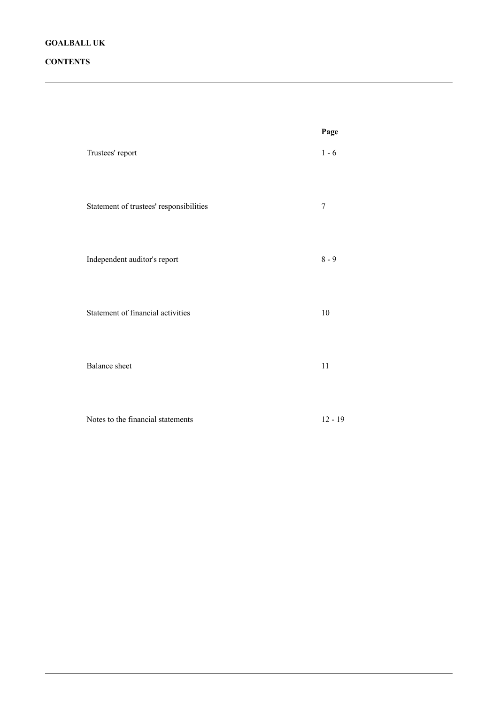# **CONTENTS**

|                                         | Page      |
|-----------------------------------------|-----------|
| Trustees' report                        | $1 - 6$   |
| Statement of trustees' responsibilities | $\tau$    |
| Independent auditor's report            | $8 - 9$   |
| Statement of financial activities       | $10\,$    |
| <b>Balance</b> sheet                    | $11\,$    |
| Notes to the financial statements       | $12 - 19$ |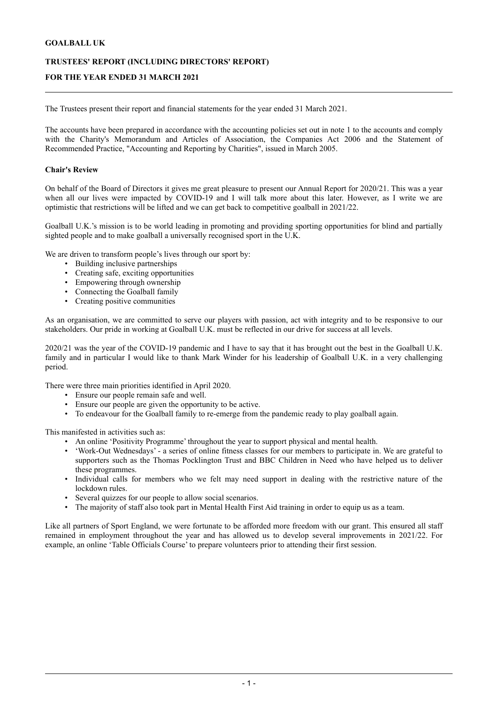# **TRUSTEES' REPORT (INCLUDING DIRECTORS' REPORT)**

# **FOR THE YEAR ENDED 31 MARCH 2021**

The Trustees present their report and financial statements for the year ended 31 March 2021.

The accounts have been prepared in accordance with the accounting policies set out in note 1 to the accounts and comply with the Charity's Memorandum and Articles of Association, the Companies Act 2006 and the Statement of Recommended Practice, "Accounting and Reporting by Charities", issued in March 2005.

#### **Chair's Review**

On behalf of the Board of Directors it gives me great pleasure to present our Annual Report for 2020/21. This was a year when all our lives were impacted by COVID-19 and I will talk more about this later. However, as I write we are optimistic that restrictions will be lifted and we can get back to competitive goalball in 2021/22.

Goalball U.K.'s mission is to be world leading in promoting and providing sporting opportunities for blind and partially sighted people and to make goalball a universally recognised sport in the U.K.

We are driven to transform people's lives through our sport by:

- Building inclusive partnerships
- Creating safe, exciting opportunities
- Empowering through ownership
- Connecting the Goalball family
- Creating positive communities

As an organisation, we are committed to serve our players with passion, act with integrity and to be responsive to our stakeholders. Our pride in working at Goalball U.K. must be reflected in our drive for success at all levels.

2020/21 was the year of the COVID-19 pandemic and I have to say that it has brought out the best in the Goalball U.K. family and in particular I would like to thank Mark Winder for his leadership of Goalball U.K. in a very challenging period.

There were three main priorities identified in April 2020.

- Ensure our people remain safe and well.
- Ensure our people are given the opportunity to be active.
- To endeavour for the Goalball family to re-emerge from the pandemic ready to play goalball again.

This manifested in activities such as:

- An online 'Positivity Programme' throughout the year to support physical and mental health.
- 'Work-Out Wednesdays' a series of online fitness classes for our members to participate in. We are grateful to supporters such as the Thomas Pocklington Trust and BBC Children in Need who have helped us to deliver these programmes.
- Individual calls for members who we felt may need support in dealing with the restrictive nature of the lockdown rules.
- Several quizzes for our people to allow social scenarios.
- The majority of staff also took part in Mental Health First Aid training in order to equip us as a team.

Like all partners of Sport England, we were fortunate to be afforded more freedom with our grant. This ensured all staff remained in employment throughout the year and has allowed us to develop several improvements in 2021/22. For example, an online 'Table Officials Course' to prepare volunteers prior to attending their first session.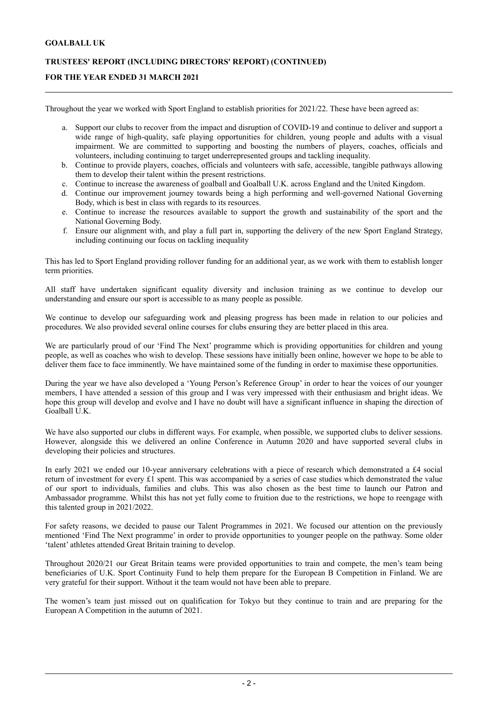# **TRUSTEES' REPORT (INCLUDING DIRECTORS' REPORT) (CONTINUED)**

# **FOR THE YEAR ENDED 31 MARCH 2021**

Throughout the year we worked with Sport England to establish priorities for 2021/22. These have been agreed as:

- a. Support our clubs to recover from the impact and disruption of COVID-19 and continue to deliver and support a wide range of high-quality, safe playing opportunities for children, young people and adults with a visual impairment. We are committed to supporting and boosting the numbers of players, coaches, officials and volunteers, including continuing to target underrepresented groups and tackling inequality.
- b. Continue to provide players, coaches, officials and volunteers with safe, accessible, tangible pathways allowing them to develop their talent within the present restrictions.
- c. Continue to increase the awareness of goalball and Goalball U.K. across England and the United Kingdom.
- d. Continue our improvement journey towards being a high performing and well-governed National Governing Body, which is best in class with regards to its resources.
- e. Continue to increase the resources available to support the growth and sustainability of the sport and the National Governing Body.
- f. Ensure our alignment with, and play a full part in, supporting the delivery of the new Sport England Strategy, including continuing our focus on tackling inequality

This has led to Sport England providing rollover funding for an additional year, as we work with them to establish longer term priorities.

All staff have undertaken significant equality diversity and inclusion training as we continue to develop our understanding and ensure our sport is accessible to as many people as possible.

We continue to develop our safeguarding work and pleasing progress has been made in relation to our policies and procedures. We also provided several online courses for clubs ensuring they are better placed in this area.

We are particularly proud of our 'Find The Next' programme which is providing opportunities for children and young people, as well as coaches who wish to develop. These sessions have initially been online, however we hope to be able to deliver them face to face imminently. We have maintained some of the funding in order to maximise these opportunities.

During the year we have also developed a 'Young Person's Reference Group' in order to hear the voices of our younger members, I have attended a session of this group and I was very impressed with their enthusiasm and bright ideas. We hope this group will develop and evolve and I have no doubt will have a significant influence in shaping the direction of Goalball U.K.

We have also supported our clubs in different ways. For example, when possible, we supported clubs to deliver sessions. However, alongside this we delivered an online Conference in Autumn 2020 and have supported several clubs in developing their policies and structures.

In early 2021 we ended our 10-year anniversary celebrations with a piece of research which demonstrated a £4 social return of investment for every £1 spent. This was accompanied by a series of case studies which demonstrated the value of our sport to individuals, families and clubs. This was also chosen as the best time to launch our Patron and Ambassador programme. Whilst this has not yet fully come to fruition due to the restrictions, we hope to reengage with this talented group in 2021/2022.

For safety reasons, we decided to pause our Talent Programmes in 2021. We focused our attention on the previously mentioned 'Find The Next programme' in order to provide opportunities to younger people on the pathway. Some older 'talent' athletes attended Great Britain training to develop.

Throughout 2020/21 our Great Britain teams were provided opportunities to train and compete, the men's team being beneficiaries of U.K. Sport Continuity Fund to help them prepare for the European B Competition in Finland. We are very grateful for their support. Without it the team would not have been able to prepare.

The women's team just missed out on qualification for Tokyo but they continue to train and are preparing for the European A Competition in the autumn of 2021.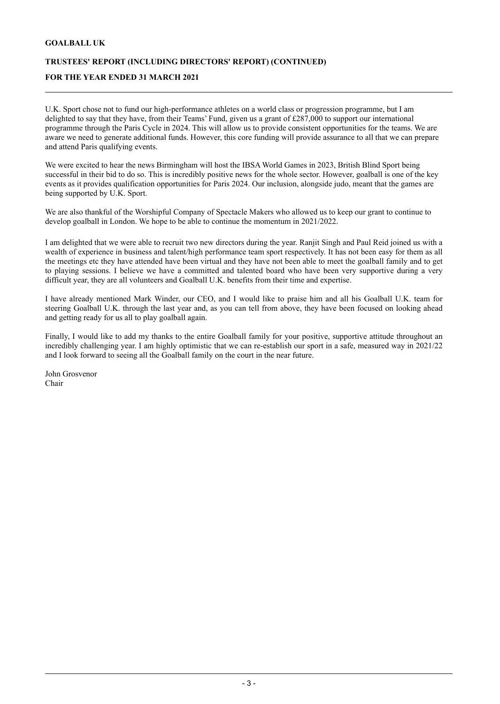# **TRUSTEES' REPORT (INCLUDING DIRECTORS' REPORT) (CONTINUED)**

# **FOR THE YEAR ENDED 31 MARCH 2021**

U.K. Sport chose not to fund our high-performance athletes on a world class or progression programme, but I am delighted to say that they have, from their Teams' Fund, given us a grant of £287,000 to support our international programme through the Paris Cycle in 2024. This will allow us to provide consistent opportunities for the teams. We are aware we need to generate additional funds. However, this core funding will provide assurance to all that we can prepare and attend Paris qualifying events.

We were excited to hear the news Birmingham will host the IBSA World Games in 2023, British Blind Sport being successful in their bid to do so. This is incredibly positive news for the whole sector. However, goalball is one of the key events as it provides qualification opportunities for Paris 2024. Our inclusion, alongside judo, meant that the games are being supported by U.K. Sport.

We are also thankful of the Worshipful Company of Spectacle Makers who allowed us to keep our grant to continue to develop goalball in London. We hope to be able to continue the momentum in 2021/2022.

I am delighted that we were able to recruit two new directors during the year. Ranjit Singh and Paul Reid joined us with a wealth of experience in business and talent/high performance team sport respectively. It has not been easy for them as all the meetings etc they have attended have been virtual and they have not been able to meet the goalball family and to get to playing sessions. I believe we have a committed and talented board who have been very supportive during a very difficult year, they are all volunteers and Goalball U.K. benefits from their time and expertise.

I have already mentioned Mark Winder, our CEO, and I would like to praise him and all his Goalball U.K. team for steering Goalball U.K. through the last year and, as you can tell from above, they have been focused on looking ahead and getting ready for us all to play goalball again.

Finally, I would like to add my thanks to the entire Goalball family for your positive, supportive attitude throughout an incredibly challenging year. I am highly optimistic that we can re-establish our sport in a safe, measured way in 2021/22 and I look forward to seeing all the Goalball family on the court in the near future.

John Grosvenor Chair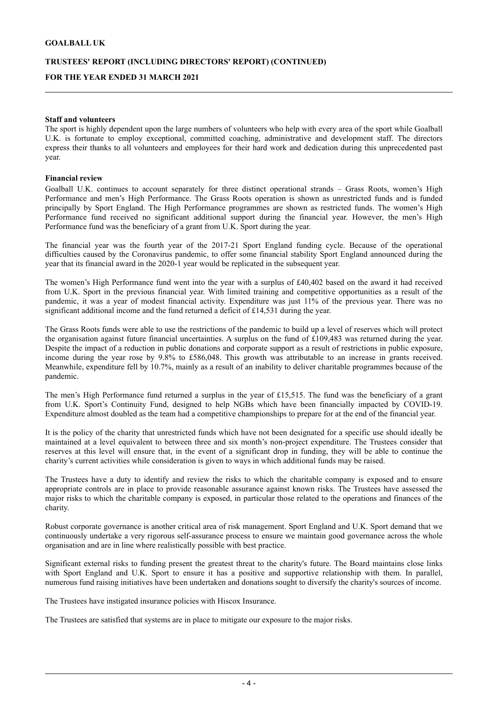# **TRUSTEES' REPORT (INCLUDING DIRECTORS' REPORT) (CONTINUED) FOR THE YEAR ENDED 31 MARCH 2021**

#### **Staff and volunteers**

The sport is highly dependent upon the large numbers of volunteers who help with every area of the sport while Goalball U.K. is fortunate to employ exceptional, committed coaching, administrative and development staff. The directors express their thanks to all volunteers and employees for their hard work and dedication during this unprecedented past year.

#### **Financial review**

Goalball U.K. continues to account separately for three distinct operational strands – Grass Roots, women's High Performance and men's High Performance. The Grass Roots operation is shown as unrestricted funds and is funded principally by Sport England. The High Performance programmes are shown as restricted funds. The women's High Performance fund received no significant additional support during the financial year. However, the men's High Performance fund was the beneficiary of a grant from U.K. Sport during the year.

The financial year was the fourth year of the 2017-21 Sport England funding cycle. Because of the operational difficulties caused by the Coronavirus pandemic, to offer some financial stability Sport England announced during the year that its financial award in the 2020-1 year would be replicated in the subsequent year.

The women's High Performance fund went into the year with a surplus of £40,402 based on the award it had received from U.K. Sport in the previous financial year. With limited training and competitive opportunities as a result of the pandemic, it was a year of modest financial activity. Expenditure was just 11% of the previous year. There was no significant additional income and the fund returned a deficit of £14,531 during the year.

The Grass Roots funds were able to use the restrictions of the pandemic to build up a level of reserves which will protect the organisation against future financial uncertainties. A surplus on the fund of £109,483 was returned during the year. Despite the impact of a reduction in public donations and corporate support as a result of restrictions in public exposure, income during the year rose by 9.8% to £586,048. This growth was attributable to an increase in grants received. Meanwhile, expenditure fell by 10.7%, mainly as a result of an inability to deliver charitable programmes because of the pandemic.

The men's High Performance fund returned a surplus in the year of £15,515. The fund was the beneficiary of a grant from U.K. Sport's Continuity Fund, designed to help NGBs which have been financially impacted by COVID-19. Expenditure almost doubled as the team had a competitive championships to prepare for at the end of the financial year.

It is the policy of the charity that unrestricted funds which have not been designated for a specific use should ideally be maintained at a level equivalent to between three and six month's non-project expenditure. The Trustees consider that reserves at this level will ensure that, in the event of a significant drop in funding, they will be able to continue the charity's current activities while consideration is given to ways in which additional funds may be raised.

The Trustees have a duty to identify and review the risks to which the charitable company is exposed and to ensure appropriate controls are in place to provide reasonable assurance against known risks. The Trustees have assessed the major risks to which the charitable company is exposed, in particular those related to the operations and finances of the charity.

Robust corporate governance is another critical area of risk management. Sport England and U.K. Sport demand that we continuously undertake a very rigorous self-assurance process to ensure we maintain good governance across the whole organisation and are in line where realistically possible with best practice.

Significant external risks to funding present the greatest threat to the charity's future. The Board maintains close links with Sport England and U.K. Sport to ensure it has a positive and supportive relationship with them. In parallel, numerous fund raising initiatives have been undertaken and donations sought to diversify the charity's sources of income.

The Trustees have instigated insurance policies with Hiscox Insurance.

The Trustees are satisfied that systems are in place to mitigate our exposure to the major risks.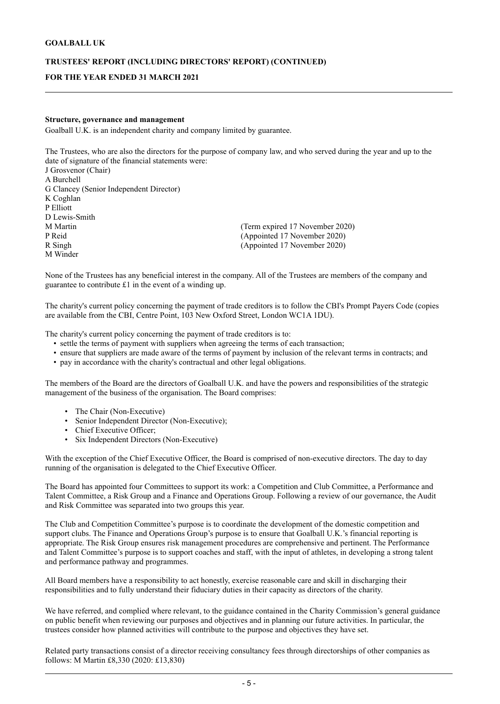# **TRUSTEES' REPORT (INCLUDING DIRECTORS' REPORT) (CONTINUED) FOR THE YEAR ENDED 31 MARCH 2021**

#### **Structure, governance and management**

Goalball U.K. is an independent charity and company limited by guarantee.

The Trustees, who are also the directors for the purpose of company law, and who served during the year and up to the date of signature of the financial statements were: J Grosvenor (Chair) A Burchell G Clancey (Senior Independent Director) K Coghlan P Elliott D Lewis-Smith<br>M Martin M Martin (Term expired 17 November 2020)<br>
P Reid (Appointed 17 November 2020) P Reid (Appointed 17 November 2020)  $(Appointed 17 November 2020)$ M Winder

None of the Trustees has any beneficial interest in the company. All of the Trustees are members of the company and guarantee to contribute £1 in the event of a winding up.

The charity's current policy concerning the payment of trade creditors is to follow the CBI's Prompt Payers Code (copies are available from the CBI, Centre Point, 103 New Oxford Street, London WC1A 1DU).

The charity's current policy concerning the payment of trade creditors is to:

- settle the terms of payment with suppliers when agreeing the terms of each transaction;
- ensure that suppliers are made aware of the terms of payment by inclusion of the relevant terms in contracts; and
- pay in accordance with the charity's contractual and other legal obligations.

The members of the Board are the directors of Goalball U.K. and have the powers and responsibilities of the strategic management of the business of the organisation. The Board comprises:

- The Chair (Non-Executive)
- Senior Independent Director (Non-Executive);
- Chief Executive Officer;
- Six Independent Directors (Non-Executive)

With the exception of the Chief Executive Officer, the Board is comprised of non-executive directors. The day to day running of the organisation is delegated to the Chief Executive Officer.

The Board has appointed four Committees to support its work: a Competition and Club Committee, a Performance and Talent Committee, a Risk Group and a Finance and Operations Group. Following a review of our governance, the Audit and Risk Committee was separated into two groups this year.

The Club and Competition Committee's purpose is to coordinate the development of the domestic competition and support clubs. The Finance and Operations Group's purpose is to ensure that Goalball U.K.'s financial reporting is appropriate. The Risk Group ensures risk management procedures are comprehensive and pertinent. The Performance and Talent Committee's purpose is to support coaches and staff, with the input of athletes, in developing a strong talent and performance pathway and programmes.

All Board members have a responsibility to act honestly, exercise reasonable care and skill in discharging their responsibilities and to fully understand their fiduciary duties in their capacity as directors of the charity.

We have referred, and complied where relevant, to the guidance contained in the Charity Commission's general guidance on public benefit when reviewing our purposes and objectives and in planning our future activities. In particular, the trustees consider how planned activities will contribute to the purpose and objectives they have set.

Related party transactions consist of a director receiving consultancy fees through directorships of other companies as follows: M Martin £8,330 (2020: £13,830)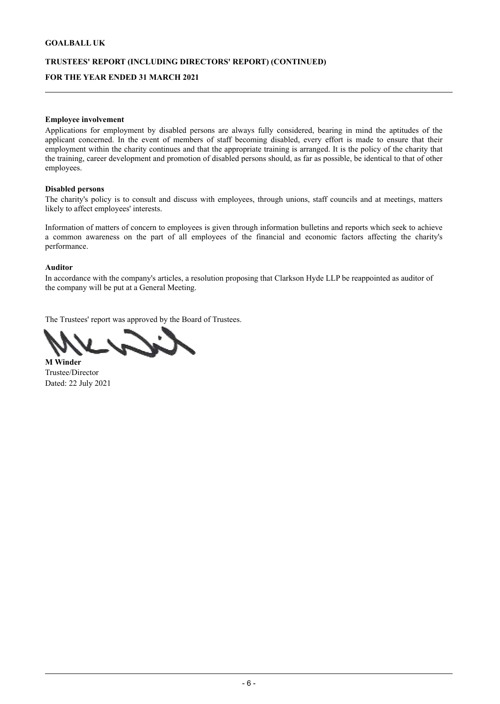# **TRUSTEES' REPORT (INCLUDING DIRECTORS' REPORT) (CONTINUED) FOR THE YEAR ENDED 31 MARCH 2021**

#### **Employee involvement**

Applications for employment by disabled persons are always fully considered, bearing in mind the aptitudes of the applicant concerned. In the event of members of staff becoming disabled, every effort is made to ensure that their employment within the charity continues and that the appropriate training is arranged. It is the policy of the charity that the training, career development and promotion of disabled persons should, as far as possible, be identical to that of other employees.

### **Disabled persons**

The charity's policy is to consult and discuss with employees, through unions, staff councils and at meetings, matters likely to affect employees' interests.

Information of matters of concern to employees is given through information bulletins and reports which seek to achieve a common awareness on the part of all employees of the financial and economic factors affecting the charity's performance.

#### **Auditor**

In accordance with the company's articles, a resolution proposing that Clarkson Hyde LLP be reappointed as auditor of the company will be put at a General Meeting.

The Trustees' report was approved by the Board of Trustees.

**M Winder**  Trustee/Director Dated: 22 July 2021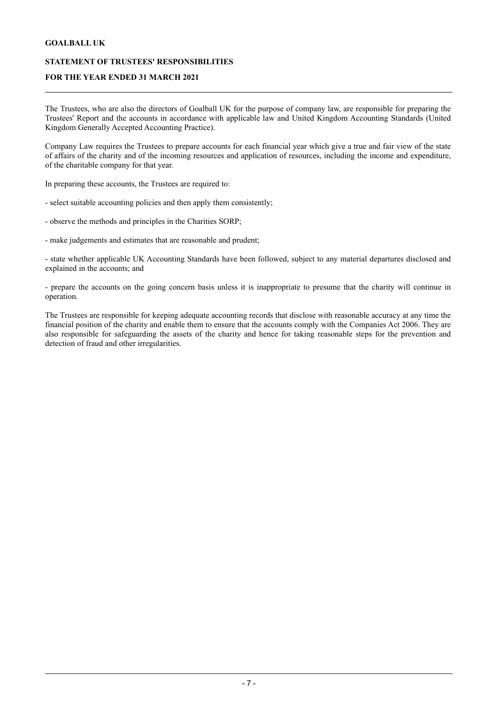# **STATEMENT OF TRUSTEES' RESPONSIBILITIES**

# **FOR THE YEAR ENDED 31 MARCH 2021**

The Trustees, who are also the directors of Goalball UK for the purpose of company law, are responsible for preparing the Trustees' Report and the accounts in accordance with applicable law and United Kingdom Accounting Standards (United Kingdom Generally Accepted Accounting Practice).

Company Law requires the Trustees to prepare accounts for each financial year which give a true and fair view of the state of affairs of the charity and of the incoming resources and application of resources, including the income and expenditure, of the charitable company for that year.

In preparing these accounts, the Trustees are required to:

- select suitable accounting policies and then apply them consistently;
- observe the methods and principles in the Charities SORP;
- make judgements and estimates that are reasonable and prudent;

- state whether applicable UK Accounting Standards have been followed, subject to any material departures disclosed and explained in the accounts; and

- prepare the accounts on the going concern basis unless it is inappropriate to presume that the charity will continue in operation.

The Trustees are responsible for keeping adequate accounting records that disclose with reasonable accuracy at any time the financial position of the charity and enable them to ensure that the accounts comply with the Companies Act 2006. They are also responsible for safeguarding the assets of the charity and hence for taking reasonable steps for the prevention and detection of fraud and other irregularities.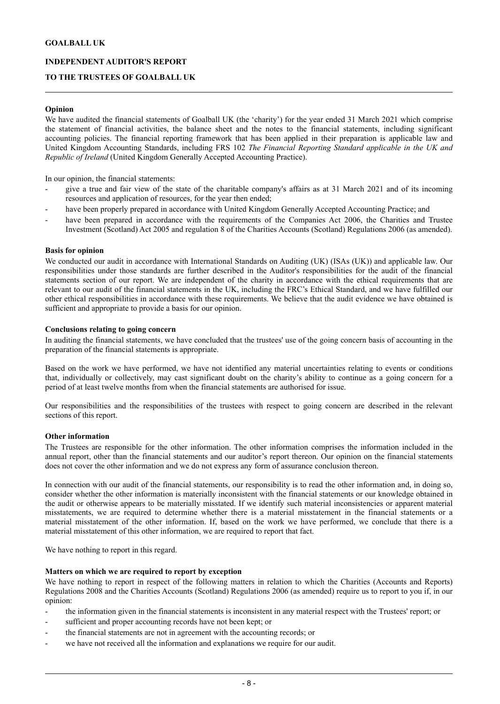# **INDEPENDENT AUDITOR'S REPORT**

# **TO THE TRUSTEES OF GOALBALL UK**

#### **Opinion**

We have audited the financial statements of Goalball UK (the 'charity') for the year ended 31 March 2021 which comprise the statement of financial activities, the balance sheet and the notes to the financial statements, including significant accounting policies. The financial reporting framework that has been applied in their preparation is applicable law and United Kingdom Accounting Standards, including FRS 102 *The Financial Reporting Standard applicable in the UK and Republic of Ireland* (United Kingdom Generally Accepted Accounting Practice).

In our opinion, the financial statements:

- give a true and fair view of the state of the charitable company's affairs as at 31 March 2021 and of its incoming resources and application of resources, for the year then ended;
- have been properly prepared in accordance with United Kingdom Generally Accepted Accounting Practice; and
- have been prepared in accordance with the requirements of the Companies Act 2006, the Charities and Trustee Investment (Scotland) Act 2005 and regulation 8 of the Charities Accounts (Scotland) Regulations 2006 (as amended).

#### **Basis for opinion**

We conducted our audit in accordance with International Standards on Auditing (UK) (ISAs (UK)) and applicable law. Our responsibilities under those standards are further described in the Auditor's responsibilities for the audit of the financial statements section of our report. We are independent of the charity in accordance with the ethical requirements that are relevant to our audit of the financial statements in the UK, including the FRC's Ethical Standard, and we have fulfilled our other ethical responsibilities in accordance with these requirements. We believe that the audit evidence we have obtained is sufficient and appropriate to provide a basis for our opinion.

#### **Conclusions relating to going concern**

In auditing the financial statements, we have concluded that the trustees' use of the going concern basis of accounting in the preparation of the financial statements is appropriate.

Based on the work we have performed, we have not identified any material uncertainties relating to events or conditions that, individually or collectively, may cast significant doubt on the charity's ability to continue as a going concern for a period of at least twelve months from when the financial statements are authorised for issue.

Our responsibilities and the responsibilities of the trustees with respect to going concern are described in the relevant sections of this report.

#### **Other information**

The Trustees are responsible for the other information. The other information comprises the information included in the annual report, other than the financial statements and our auditor's report thereon. Our opinion on the financial statements does not cover the other information and we do not express any form of assurance conclusion thereon.

In connection with our audit of the financial statements, our responsibility is to read the other information and, in doing so, consider whether the other information is materially inconsistent with the financial statements or our knowledge obtained in the audit or otherwise appears to be materially misstated. If we identify such material inconsistencies or apparent material misstatements, we are required to determine whether there is a material misstatement in the financial statements or a material misstatement of the other information. If, based on the work we have performed, we conclude that there is a material misstatement of this other information, we are required to report that fact.

We have nothing to report in this regard.

#### **Matters on which we are required to report by exception**

We have nothing to report in respect of the following matters in relation to which the Charities (Accounts and Reports) Regulations 2008 and the Charities Accounts (Scotland) Regulations 2006 (as amended) require us to report to you if, in our opinion:

- the information given in the financial statements is inconsistent in any material respect with the Trustees' report; or
- sufficient and proper accounting records have not been kept; or
- the financial statements are not in agreement with the accounting records; or
- we have not received all the information and explanations we require for our audit.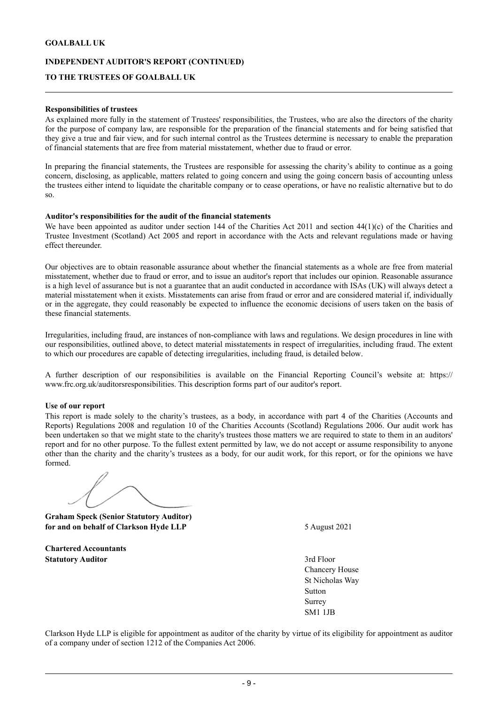### **INDEPENDENT AUDITOR'S REPORT (CONTINUED)**

# **TO THE TRUSTEES OF GOALBALL UK**

#### **Responsibilities of trustees**

As explained more fully in the statement of Trustees' responsibilities, the Trustees, who are also the directors of the charity for the purpose of company law, are responsible for the preparation of the financial statements and for being satisfied that they give a true and fair view, and for such internal control as the Trustees determine is necessary to enable the preparation of financial statements that are free from material misstatement, whether due to fraud or error.

In preparing the financial statements, the Trustees are responsible for assessing the charity's ability to continue as a going concern, disclosing, as applicable, matters related to going concern and using the going concern basis of accounting unless the trustees either intend to liquidate the charitable company or to cease operations, or have no realistic alternative but to do so.

#### **Auditor's responsibilities for the audit of the financial statements**

We have been appointed as auditor under section 144 of the Charities Act 2011 and section  $44(1)(c)$  of the Charities and Trustee Investment (Scotland) Act 2005 and report in accordance with the Acts and relevant regulations made or having effect thereunder.

Our objectives are to obtain reasonable assurance about whether the financial statements as a whole are free from material misstatement, whether due to fraud or error, and to issue an auditor's report that includes our opinion. Reasonable assurance is a high level of assurance but is not a guarantee that an audit conducted in accordance with ISAs (UK) will always detect a material misstatement when it exists. Misstatements can arise from fraud or error and are considered material if, individually or in the aggregate, they could reasonably be expected to influence the economic decisions of users taken on the basis of these financial statements.

Irregularities, including fraud, are instances of non-compliance with laws and regulations. We design procedures in line with our responsibilities, outlined above, to detect material misstatements in respect of irregularities, including fraud. The extent to which our procedures are capable of detecting irregularities, including fraud, is detailed below .

A further description of our responsibilities is available on the Financial Reporting Council's website at: https:// www.frc.org.uk/auditorsresponsibilities. This description forms part of our auditor's report.

#### **Use of our report**

This report is made solely to the charity's trustees, as a body, in accordance with part 4 of the Charities (Accounts and Reports) Regulations 2008 and regulation 10 of the Charities Accounts (Scotland) Regulations 2006. Our audit work has been undertaken so that we might state to the charity's trustees those matters we are required to state to them in an auditors' report and for no other purpose. To the fullest extent permitted by law, we do not accept or assume responsibility to anyone other than the charity and the charity's trustees as a body, for our audit work, for this report, or for the opinions we have formed.

**Graham Speck (Senior Statutory Auditor) for and on behalf of Clarkson Hyde LLP** 5 August 2021

**Chartered Accountants Statutory Auditor** 3rd Floor

Chancery House St Nicholas Way Sutton Surrey SM1 1JB

Clarkson Hyde LLP is eligible for appointment as auditor of the charity by virtue of its eligibility for appointment as auditor of a company under of section 1212 of the Companies Act 2006.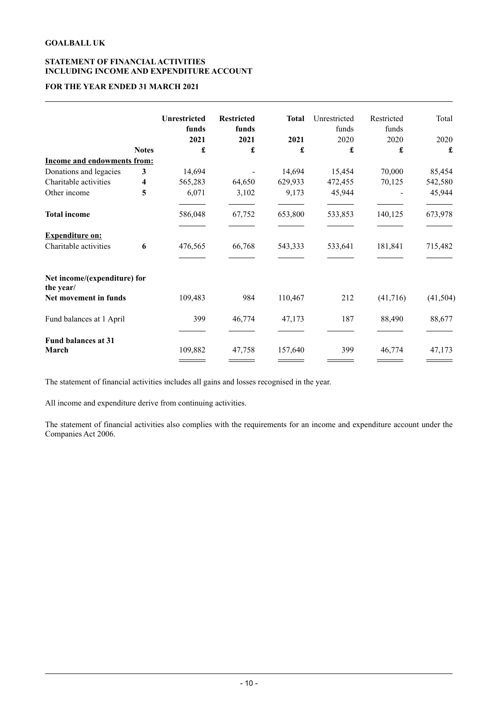# **STATEMENT OF FINANCIALACTIVITIES INCLUDING INCOME AND EXPENDITURE ACCOUNT**

# **FOR THE YEAR ENDED 31 MARCH 2021**

|                                           |              | <b>Unrestricted</b><br>funds | <b>Restricted</b><br>funds | <b>Total</b> | Unrestricted<br>funds | Restricted<br>funds | Total     |
|-------------------------------------------|--------------|------------------------------|----------------------------|--------------|-----------------------|---------------------|-----------|
|                                           |              | 2021                         | 2021                       | 2021         | 2020                  | 2020                | 2020      |
|                                           | <b>Notes</b> | £                            | £                          | £            | £                     | £                   | £         |
| <b>Income and endowments from:</b>        |              |                              |                            |              |                       |                     |           |
| Donations and legacies                    | 3            | 14,694                       |                            | 14,694       | 15,454                | 70,000              | 85,454    |
| Charitable activities                     | 4            | 565,283                      | 64,650                     | 629,933      | 472,455               | 70,125              | 542,580   |
| Other income                              | 5            | 6,071                        | 3,102                      | 9,173        | 45,944                |                     | 45,944    |
| <b>Total income</b>                       |              | 586,048                      | 67,752                     | 653,800      | 533,853               | 140,125             | 673,978   |
| <b>Expenditure on:</b>                    |              |                              |                            |              |                       |                     |           |
| Charitable activities                     | 6            | 476,565                      | 66,768                     | 543,333      | 533,641               | 181,841             | 715,482   |
| Net income/(expenditure) for<br>the year/ |              |                              |                            |              |                       |                     |           |
| Net movement in funds                     |              | 109,483                      | 984                        | 110,467      | 212                   | (41,716)            | (41, 504) |
| Fund balances at 1 April                  |              | 399                          | 46,774                     | 47,173       | 187                   | 88,490              | 88,677    |
| <b>Fund balances at 31</b><br>March       |              | 109,882                      | 47,758                     | 157,640      | 399                   | 46,774              | 47,173    |

The statement of financial activities includes all gains and losses recognised in the year.

All income and expenditure derive from continuing activities.

The statement of financial activities also complies with the requirements for an income and expenditure account under the Companies Act 2006.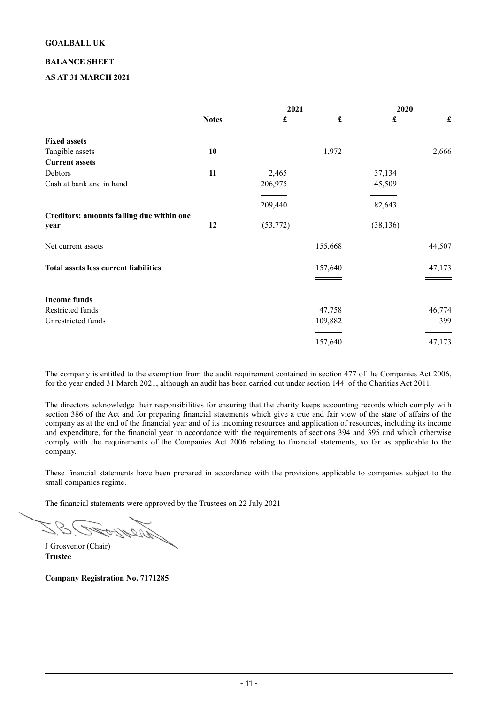### **BALANCE SHEET**

# **AS AT 31 MARCH 2021**

|                                                   |              | 2021                 |                      | 2020               |                      |
|---------------------------------------------------|--------------|----------------------|----------------------|--------------------|----------------------|
|                                                   | <b>Notes</b> | $\pmb{\mathfrak{L}}$ | $\pmb{\mathfrak{L}}$ | $\pmb{\mathbf{f}}$ | $\pmb{\mathfrak{L}}$ |
| <b>Fixed assets</b>                               |              |                      |                      |                    |                      |
| Tangible assets                                   | 10           |                      | 1,972                |                    | 2,666                |
| <b>Current assets</b>                             |              |                      |                      |                    |                      |
| Debtors                                           | 11           | 2,465                |                      | 37,134             |                      |
| Cash at bank and in hand                          |              | 206,975              |                      | 45,509             |                      |
|                                                   |              | 209,440              |                      | 82,643             |                      |
| Creditors: amounts falling due within one<br>year | 12           | (53, 772)            |                      | (38, 136)          |                      |
| Net current assets                                |              |                      | 155,668              |                    | 44,507               |
| <b>Total assets less current liabilities</b>      |              |                      | 157,640              |                    | 47,173               |
|                                                   |              |                      |                      |                    |                      |
| <b>Income funds</b>                               |              |                      |                      |                    |                      |
| Restricted funds                                  |              |                      | 47,758               |                    | 46,774               |
| Unrestricted funds                                |              |                      | 109,882              |                    | 399                  |
|                                                   |              |                      | 157,640              |                    | 47,173               |
|                                                   |              |                      |                      |                    |                      |

The company is entitled to the exemption from the audit requirement contained in section 477 of the Companies Act 2006, for the year ended 31 March 2021, although an audit has been carried out under section 144 of the Charities Act 2011.

The directors acknowledge their responsibilities for ensuring that the charity keeps accounting records which comply with section 386 of the Act and for preparing financial statements which give a true and fair view of the state of affairs of the company as at the end of the financial year and of its incoming resources and application of resources, including its income and expenditure, for the financial year in accordance with the requirements of sections 394 and 395 and which otherwise comply with the requirements of the Companies Act 2006 relating to financial statements, so far as applicable to the company.

These financial statements have been prepared in accordance with the provisions applicable to companies subject to the small companies regime.

The financial statements were approved by the Trustees on 22 July 2021

J Grosvenor (Chair) **Trustee** 

**Company Registration No. 7171285**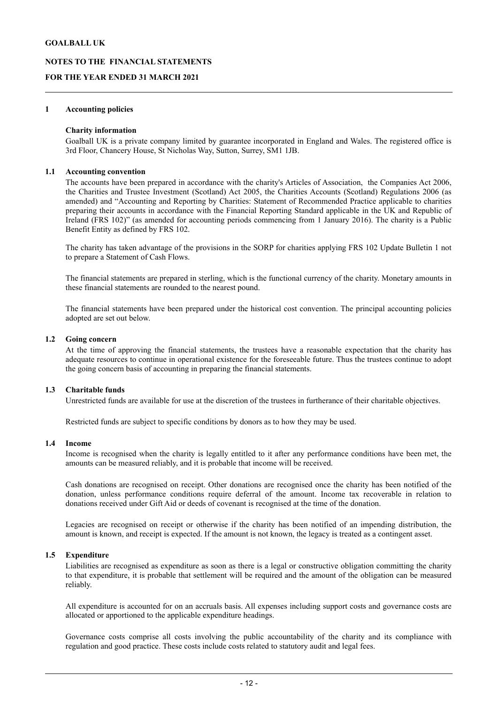# **NOTES TO THE FINANCIAL STATEMENTS**

# **FOR THE YEAR ENDED 31 MARCH 2021**

#### **1 Accounting policies**

#### **Charity information**

Goalball UK is a private company limited by guarantee incorporated in England and Wales. The registered office is 3rd Floor, Chancery House, St Nicholas Way, Sutton, Surrey, SM1 1JB.

#### **1.1 Accounting convention**

The accounts have been prepared in accordance with the charity's Articles of Association, the Companies Act 2006, the Charities and Trustee Investment (Scotland) Act 2005, the Charities Accounts (Scotland) Regulations 2006 (as amended) and "Accounting and Reporting by Charities: Statement of Recommended Practice applicable to charities preparing their accounts in accordance with the Financial Reporting Standard applicable in the UK and Republic of Ireland (FRS 102)" (as amended for accounting periods commencing from 1 January 2016). The charity is a Public Benefit Entity as defined by FRS 102.

The charity has taken advantage of the provisions in the SORP for charities applying FRS 102 Update Bulletin 1 not to prepare a Statement of Cash Flows.

The financial statements are prepared in sterling, which is the functional currency of the charity. Monetary amounts in these financial statements are rounded to the nearest pound.

The financial statements have been prepared under the historical cost convention. The principal accounting policies adopted are set out below.

#### **1.2 Going concern**

At the time of approving the financial statements, the trustees have a reasonable expectation that the charity has adequate resources to continue in operational existence for the foreseeable future. Thus the trustees continue to adopt the going concern basis of accounting in preparing the financial statements.

#### **1.3 Charitable funds**

Unrestricted funds are available for use at the discretion of the trustees in furtherance of their charitable objectives.

Restricted funds are subject to specific conditions by donors as to how they may be used.

#### **1.4 Income**

Income is recognised when the charity is legally entitled to it after any performance conditions have been met, the amounts can be measured reliably, and it is probable that income will be received.

Cash donations are recognised on receipt. Other donations are recognised once the charity has been notified of the donation, unless performance conditions require deferral of the amount. Income tax recoverable in relation to donations received under Gift Aid or deeds of covenant is recognised at the time of the donation.

Legacies are recognised on receipt or otherwise if the charity has been notified of an impending distribution, the amount is known, and receipt is expected. If the amount is not known, the legacy is treated as a contingent asset.

#### **1.5 Expenditure**

Liabilities are recognised as expenditure as soon as there is a legal or constructive obligation committing the charity to that expenditure, it is probable that settlement will be required and the amount of the obligation can be measured reliably.

All expenditure is accounted for on an accruals basis. All expenses including support costs and governance costs are allocated or apportioned to the applicable expenditure headings.

Governance costs comprise all costs involving the public accountability of the charity and its compliance with regulation and good practice. These costs include costs related to statutory audit and legal fees.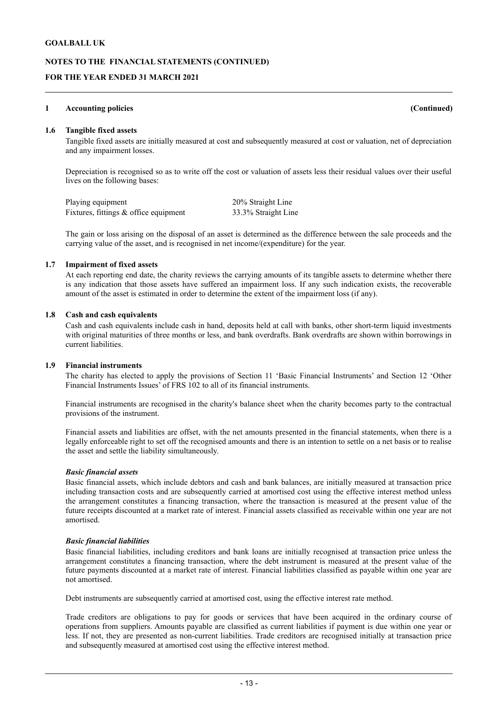# **NOTES TO THE FINANCIAL STATEMENTS (CONTINUED)**

# **FOR THE YEAR ENDED 31 MARCH 2021**

#### **1 Accounting policies (Continued)**

#### **1.6 Tangible fixed assets**

Tangible fixed assets are initially measured at cost and subsequently measured at cost or valuation, net of depreciation and any impairment losses.

Depreciation is recognised so as to write off the cost or valuation of assets less their residual values over their useful lives on the following bases:

| Playing equipment                     | 20% Straight Line   |
|---------------------------------------|---------------------|
| Fixtures, fittings & office equipment | 33.3% Straight Line |

The gain or loss arising on the disposal of an asset is determined as the difference between the sale proceeds and the carrying value of the asset, and is recognised in net income/(expenditure) for the year.

#### **1.7 Impairment of fixed assets**

At each reporting end date, the charity reviews the carrying amounts of its tangible assets to determine whether there is any indication that those assets have suffered an impairment loss. If any such indication exists, the recoverable amount of the asset is estimated in order to determine the extent of the impairment loss (if any).

#### **1.8 Cash and cash equivalents**

Cash and cash equivalents include cash in hand, deposits held at call with banks, other short-term liquid investments with original maturities of three months or less, and bank overdrafts. Bank overdrafts are shown within borrowings in current liabilities.

#### **1.9 Financial instruments**

The charity has elected to apply the provisions of Section 11 'Basic Financial Instruments' and Section 12 'Other Financial Instruments Issues' of FRS 102 to all of its financial instruments.

Financial instruments are recognised in the charity's balance sheet when the charity becomes party to the contractual provisions of the instrument.

Financial assets and liabilities are offset, with the net amounts presented in the financial statements, when there is a legally enforceable right to set off the recognised amounts and there is an intention to settle on a net basis or to realise the asset and settle the liability simultaneously.

#### *Basic financial assets*

Basic financial assets, which include debtors and cash and bank balances, are initially measured at transaction price including transaction costs and are subsequently carried at amortised cost using the effective interest method unless the arrangement constitutes a financing transaction, where the transaction is measured at the present value of the future receipts discounted at a market rate of interest. Financial assets classified as receivable within one year are not amortised.

#### *Basic financial liabilities*

Basic financial liabilities, including creditors and bank loans are initially recognised at transaction price unless the arrangement constitutes a financing transaction, where the debt instrument is measured at the present value of the future payments discounted at a market rate of interest. Financial liabilities classified as payable within one year are not amortised.

Debt instruments are subsequently carried at amortised cost, using the effective interest rate method.

Trade creditors are obligations to pay for goods or services that have been acquired in the ordinary course of operations from suppliers. Amounts payable are classified as current liabilities if payment is due within one year or less. If not, they are presented as non-current liabilities. Trade creditors are recognised initially at transaction price and subsequently measured at amortised cost using the effective interest method.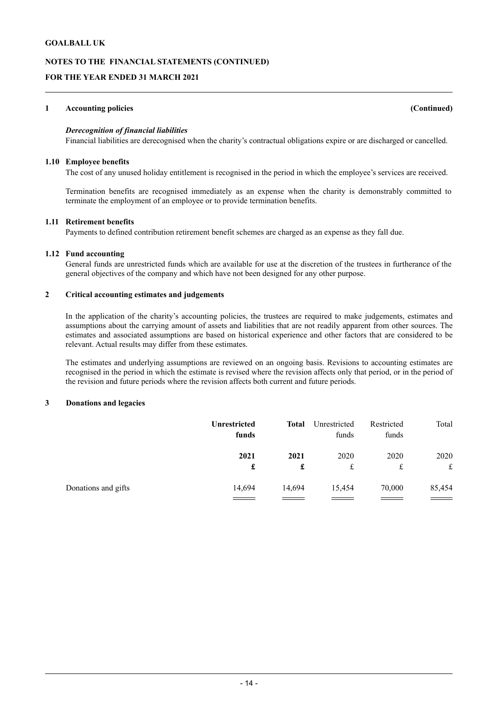# **NOTES TO THE FINANCIAL STATEMENTS (CONTINUED)**

# **FOR THE YEAR ENDED 31 MARCH 2021**

#### **1 Accounting policies (Continued)**

# *Derecognition of financial liabilities*

Financial liabilities are derecognised when the charity's contractual obligations expire or are discharged or cancelled.

#### **1.10 Employee benefits**

The cost of any unused holiday entitlement is recognised in the period in which the employee's services are received.

Termination benefits are recognised immediately as an expense when the charity is demonstrably committed to terminate the employment of an employee or to provide termination benefits.

# **1.11 Retirement benefits**

Payments to defined contribution retirement benefit schemes are charged as an expense as they fall due.

#### **1.12 Fund accounting**

General funds are unrestricted funds which are available for use at the discretion of the trustees in furtherance of the general objectives of the company and which have not been designed for any other purpose.

#### **2 Critical accounting estimates and judgements**

In the application of the charity's accounting policies, the trustees are required to make judgements, estimates and assumptions about the carrying amount of assets and liabilities that are not readily apparent from other sources. The estimates and associated assumptions are based on historical experience and other factors that are considered to be relevant. Actual results may differ from these estimates.

The estimates and underlying assumptions are reviewed on an ongoing basis. Revisions to accounting estimates are recognised in the period in which the estimate is revised where the revision affects only that period, or in the period of the revision and future periods where the revision affects both current and future periods.

#### **3 Donations and legacies**

|                     | <b>Unrestricted</b><br>funds | <b>Total</b> | Unrestricted<br>funds | Restricted<br>funds | Total     |
|---------------------|------------------------------|--------------|-----------------------|---------------------|-----------|
|                     | 2021<br>£                    | 2021<br>£    | 2020<br>£             | 2020<br>£           | 2020<br>£ |
| Donations and gifts | 14,694                       | 14,694       | 15,454                | 70,000              | 85,454    |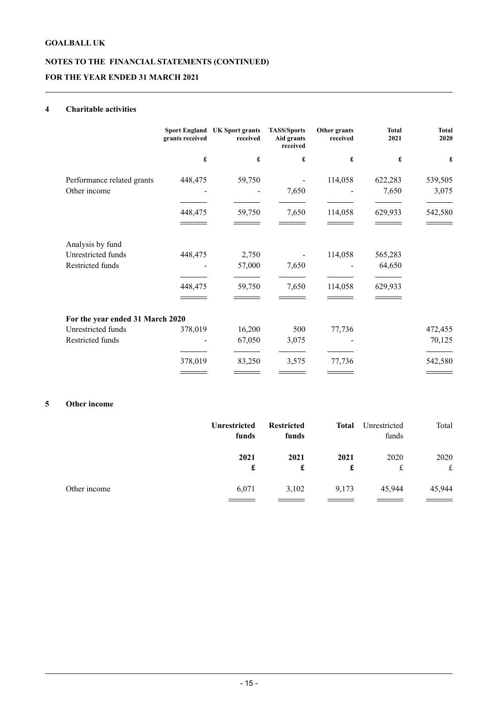# **NOTES TO THE FINANCIAL STATEMENTS (CONTINUED) FOR THE YEAR ENDED 31 MARCH 2021**

# **4 Charitable activities**

|                                  | grants received | Sport England UK Sport grants<br>received | <b>TASS/Sports</b><br>Aid grants<br>received | Other grants<br>received | <b>Total</b><br>2021 | <b>Total</b><br>2020 |
|----------------------------------|-----------------|-------------------------------------------|----------------------------------------------|--------------------------|----------------------|----------------------|
|                                  | £               | £                                         | £                                            | £                        | £                    | £                    |
| Performance related grants       | 448,475         | 59,750                                    |                                              | 114,058                  | 622,283              | 539,505              |
| Other income                     |                 |                                           | 7,650                                        |                          | 7,650                | 3,075                |
|                                  | 448,475         | 59,750                                    | 7,650                                        | 114,058                  | 629,933              | 542,580              |
| Analysis by fund                 |                 |                                           |                                              |                          |                      |                      |
| Unrestricted funds               | 448,475         | 2,750                                     |                                              | 114,058                  | 565,283              |                      |
| Restricted funds                 |                 | 57,000                                    | 7,650                                        |                          | 64,650               |                      |
|                                  | 448,475         | 59,750                                    | 7,650                                        | 114,058                  | 629,933              |                      |
|                                  |                 |                                           |                                              |                          |                      |                      |
| For the year ended 31 March 2020 |                 |                                           |                                              |                          |                      |                      |
| Unrestricted funds               | 378,019         | 16,200                                    | 500                                          | 77,736                   |                      | 472,455              |
| Restricted funds                 |                 | 67,050                                    | 3,075                                        |                          |                      | 70,125               |
|                                  | 378,019         | 83,250                                    | 3,575                                        | 77,736                   |                      | 542,580              |

# **5 Other income**

|              | <b>Unrestricted</b><br>funds | <b>Restricted</b><br>funds | Total     | Unrestricted<br>funds | Total               |
|--------------|------------------------------|----------------------------|-----------|-----------------------|---------------------|
|              | 2021<br>£                    | 2021<br>£                  | 2021<br>£ | 2020<br>£             | 2020<br>$f_{\rm c}$ |
| Other income | 6,071                        | 3,102                      | 9,173     | 45,944                | 45,944              |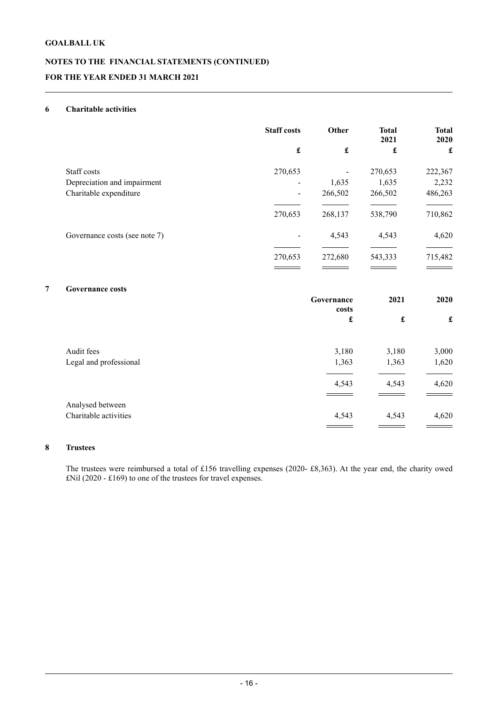# **NOTES TO THE FINANCIAL STATEMENTS (CONTINUED) FOR THE YEAR ENDED 31 MARCH 2021**

# **6 Charitable activities**

|   |                               | <b>Staff costs</b>                       | Other                |                      | <b>Total</b><br>2021 | <b>Total</b><br>2020 |
|---|-------------------------------|------------------------------------------|----------------------|----------------------|----------------------|----------------------|
|   |                               | $\pmb{\mathbf{f}}$<br>$\pmb{\mathbf{f}}$ | $\pmb{\mathfrak{L}}$ | £                    |                      |                      |
|   | Staff costs                   | 270,653                                  |                      | 270,653              | 222,367              |                      |
|   | Depreciation and impairment   |                                          | 1,635                | 1,635                | 2,232                |                      |
|   | Charitable expenditure        | $\blacksquare$                           | 266,502              | 266,502              | 486,263              |                      |
|   |                               | 270,653                                  | 268,137              | 538,790              | 710,862              |                      |
|   | Governance costs (see note 7) |                                          | 4,543                | 4,543                | 4,620                |                      |
|   |                               | 270,653                                  | 272,680              | 543,333              | 715,482              |                      |
| 7 | <b>Governance costs</b>       |                                          |                      |                      |                      |                      |
|   |                               |                                          | Governance<br>costs  | 2021                 | 2020                 |                      |
|   |                               |                                          | £                    | $\pmb{\mathfrak{L}}$ | $\pmb{\mathfrak{L}}$ |                      |
|   |                               |                                          |                      |                      |                      |                      |

| Audit fees<br>Legal and professional | 3,180<br>1,363 | 3,180<br>1,363 | 3,000<br>1,620 |
|--------------------------------------|----------------|----------------|----------------|
|                                      | 4,543          | 4,543          | 4,620          |
| Analysed between                     |                |                |                |
| Charitable activities                | 4,543          | 4,543          | 4,620          |
|                                      |                |                |                |

# **8 Trustees**

The trustees were reimbursed a total of £156 travelling expenses (2020- £8,363). At the year end, the charity owed £Nil (2020 - £169) to one of the trustees for travel expenses.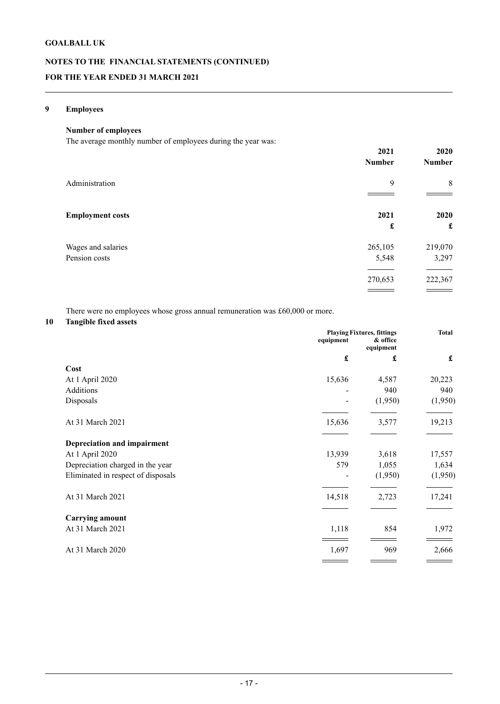# **NOTES TO THE FINANCIAL STATEMENTS (CONTINUED) FOR THE YEAR ENDED 31 MARCH 2021**

# **9 Employees**

# **Number of employees**

The average monthly number of employees during the year was:

|                                     | 2021<br><b>Number</b> | 2020<br><b>Number</b> |
|-------------------------------------|-----------------------|-----------------------|
| Administration                      | 9                     | 8                     |
| <b>Employment costs</b>             | 2021<br>£             | 2020<br>£             |
| Wages and salaries<br>Pension costs | 265,105<br>5,548      | 219,070<br>3,297      |
|                                     | 270,653               | 222,367               |

There were no employees whose gross annual remuneration was £60,000 or more.

# **10 Tangible fixed assets**

|                                    |           | <b>Playing Fixtures, fittings</b> | Total   |
|------------------------------------|-----------|-----------------------------------|---------|
|                                    | equipment | & office<br>equipment             |         |
|                                    | £         | £                                 | £       |
| Cost                               |           |                                   |         |
| At 1 April 2020                    | 15,636    | 4,587                             | 20,223  |
| Additions                          |           | 940                               | 940     |
| Disposals                          |           | (1,950)                           | (1,950) |
| At 31 March 2021                   | 15,636    | 3,577                             | 19,213  |
| Depreciation and impairment        |           |                                   |         |
| At 1 April 2020                    | 13,939    | 3,618                             | 17,557  |
| Depreciation charged in the year   | 579       | 1,055                             | 1,634   |
| Eliminated in respect of disposals |           | (1,950)                           | (1,950) |
| At 31 March 2021                   | 14,518    | 2,723                             | 17,241  |
| <b>Carrying amount</b>             |           |                                   |         |
| At 31 March 2021                   | 1,118     | 854                               | 1,972   |
| At 31 March 2020                   | 1,697     | 969                               | 2,666   |
|                                    |           |                                   |         |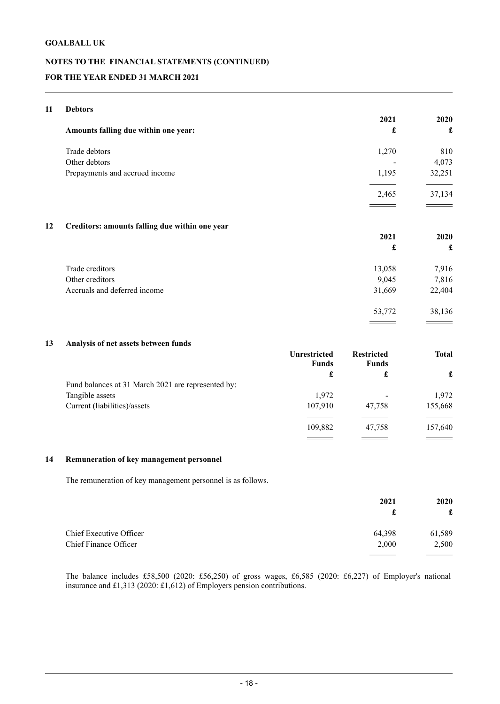# **NOTES TO THE FINANCIAL STATEMENTS (CONTINUED) FOR THE YEAR ENDED 31 MARCH 2021**

# **11 Debtors**

| Amounts falling due within one year: | 2021<br>£ | 2020<br>£ |
|--------------------------------------|-----------|-----------|
| Trade debtors                        | 1,270     | 810       |
| Other debtors                        |           | 4,073     |
| Prepayments and accrued income       | 1,195     | 32,251    |
|                                      | 2,465     | 37,134    |
|                                      |           |           |

# **12 Creditors: amounts falling due within one year**

|                              |        | 2020   |
|------------------------------|--------|--------|
|                              | £      | £      |
| Trade creditors              | 13,058 | 7,916  |
| Other creditors              | 9,045  | 7,816  |
| Accruals and deferred income | 31,669 | 22,404 |
|                              | 53,772 | 38,136 |

**2021 2020**

# **13 Analysis of net assets between funds**

|                                                    | <b>Unrestricted</b><br><b>Funds</b> | <b>Restricted</b><br><b>Funds</b> | <b>Total</b> |   |
|----------------------------------------------------|-------------------------------------|-----------------------------------|--------------|---|
|                                                    | £                                   |                                   | £            | £ |
| Fund balances at 31 March 2021 are represented by: |                                     |                                   |              |   |
| Tangible assets                                    | 1,972                               |                                   | 1,972        |   |
| Current (liabilities)/assets                       | 107,910                             | 47,758                            | 155,668      |   |
|                                                    | 109,882                             | 47,758                            | 157,640      |   |
|                                                    |                                     |                                   |              |   |

#### **14 Remuneration of key management personnel**

The remuneration of key management personnel is as follows.

|                         | 2021   | <b>2020</b><br>£ |
|-------------------------|--------|------------------|
| Chief Executive Officer | 64,398 | 61,589           |
| Chief Finance Officer   | 2,000  | 2,500            |

The balance includes £58,500 (2020: £56,250) of gross wages, £6,585 (2020: £6,227) of Employer's national insurance and £1,313 (2020: £1,612) of Employers pension contributions.